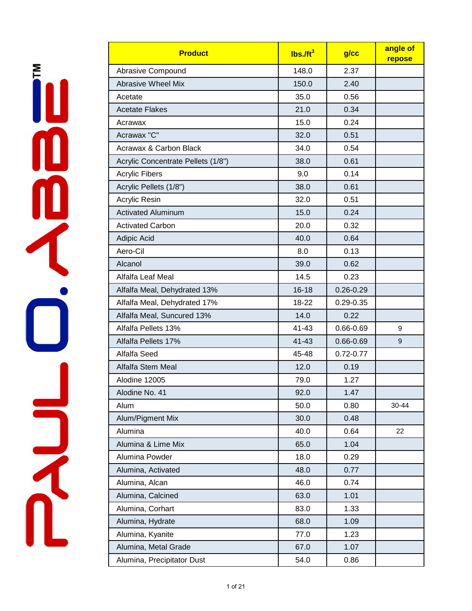ň 

| <b>Product</b>                     | $lbs.$ /ft <sup>3</sup> | g/cc          | angle of<br>repose |
|------------------------------------|-------------------------|---------------|--------------------|
| Abrasive Compound                  | 148.0                   | 2.37          |                    |
| <b>Abrasive Wheel Mix</b>          | 150.0                   | 2.40          |                    |
| Acetate                            | 35.0                    | 0.56          |                    |
| <b>Acetate Flakes</b>              | 21.0                    | 0.34          |                    |
| Acrawax                            | 15.0                    | 0.24          |                    |
| Acrawax "C"                        | 32.0                    | 0.51          |                    |
| Acrawax & Carbon Black             | 34.0                    | 0.54          |                    |
| Acrylic Concentrate Pellets (1/8") | 38.0                    | 0.61          |                    |
| <b>Acrylic Fibers</b>              | 9.0                     | 0.14          |                    |
| Acrylic Pellets (1/8")             | 38.0                    | 0.61          |                    |
| Acrylic Resin                      | 32.0                    | 0.51          |                    |
| <b>Activated Aluminum</b>          | 15.0                    | 0.24          |                    |
| <b>Activated Carbon</b>            | 20.0                    | 0.32          |                    |
| Adipic Acid                        | 40.0                    | 0.64          |                    |
| Aero-Cil                           | 8.0                     | 0.13          |                    |
| Alcanol                            | 39.0                    | 0.62          |                    |
| Alfalfa Leaf Meal                  | 14.5                    | 0.23          |                    |
| Alfalfa Meal, Dehydrated 13%       | $16 - 18$               | $0.26 - 0.29$ |                    |
| Alfalfa Meal, Dehydrated 17%       | 18-22                   | $0.29 - 0.35$ |                    |
| Alfalfa Meal, Suncured 13%         | 14.0                    | 0.22          |                    |
| Alfalfa Pellets 13%                | 41-43                   | 0.66-0.69     | 9                  |
| Alfalfa Pellets 17%                | $41 - 43$               | $0.66 - 0.69$ | 9                  |
| Alfalfa Seed                       | 45-48                   | $0.72 - 0.77$ |                    |
| Alfalfa Stem Meal                  | 12.0                    | 0.19          |                    |
| Alodine 12005                      | 79.0                    | 1.27          |                    |
| Alodine No. 41                     | 92.0                    | 1.47          |                    |
| Alum                               | 50.0                    | 0.80          | 30-44              |
| Alum/Pigment Mix                   | 30.0                    | 0.48          |                    |
| Alumina                            | 40.0                    | 0.64          | 22                 |
| Alumina & Lime Mix                 | 65.0                    | 1.04          |                    |
| Alumina Powder                     | 18.0                    | 0.29          |                    |
| Alumina, Activated                 | 48.0                    | 0.77          |                    |
| Alumina, Alcan                     | 46.0                    | 0.74          |                    |
| Alumina, Calcined                  | 63.0                    | 1.01          |                    |
| Alumina, Corhart                   | 83.0                    | 1.33          |                    |
| Alumina, Hydrate                   | 68.0                    | 1.09          |                    |
| Alumina, Kyanite                   | 77.0                    | 1.23          |                    |
| Alumina, Metal Grade               | 67.0                    | 1.07          |                    |
| Alumina, Precipitator Dust         | 54.0                    | 0.86          |                    |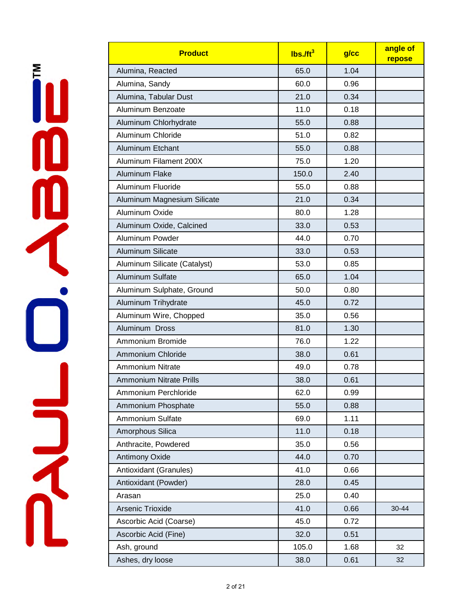| <b>Product</b>                 | $Ibs$ ./ft <sup>3</sup> | g/cc | angle of<br>repose |
|--------------------------------|-------------------------|------|--------------------|
| Alumina, Reacted               | 65.0                    | 1.04 |                    |
| Alumina, Sandy                 | 60.0                    | 0.96 |                    |
| Alumina, Tabular Dust          | 21.0                    | 0.34 |                    |
| Aluminum Benzoate              | 11.0                    | 0.18 |                    |
| Aluminum Chlorhydrate          | 55.0                    | 0.88 |                    |
| Aluminum Chloride              | 51.0                    | 0.82 |                    |
| Aluminum Etchant               | 55.0                    | 0.88 |                    |
| Aluminum Filament 200X         | 75.0                    | 1.20 |                    |
| Aluminum Flake                 | 150.0                   | 2.40 |                    |
| Aluminum Fluoride              | 55.0                    | 0.88 |                    |
| Aluminum Magnesium Silicate    | 21.0                    | 0.34 |                    |
| Aluminum Oxide                 | 80.0                    | 1.28 |                    |
| Aluminum Oxide, Calcined       | 33.0                    | 0.53 |                    |
| Aluminum Powder                | 44.0                    | 0.70 |                    |
| Aluminum Silicate              | 33.0                    | 0.53 |                    |
| Aluminum Silicate (Catalyst)   | 53.0                    | 0.85 |                    |
| Aluminum Sulfate               | 65.0                    | 1.04 |                    |
| Aluminum Sulphate, Ground      | 50.0                    | 0.80 |                    |
| Aluminum Trihydrate            | 45.0                    | 0.72 |                    |
| Aluminum Wire, Chopped         | 35.0                    | 0.56 |                    |
| Aluminum Dross                 | 81.0                    | 1.30 |                    |
| Ammonium Bromide               | 76.0                    | 1.22 |                    |
| Ammonium Chloride              | 38.0                    | 0.61 |                    |
| <b>Ammonium Nitrate</b>        | 49.0                    | 0.78 |                    |
| <b>Ammonium Nitrate Prills</b> | 38.0                    | 0.61 |                    |
| Ammonium Perchloride           | 62.0                    | 0.99 |                    |
| Ammonium Phosphate             | 55.0                    | 0.88 |                    |
| Ammonium Sulfate               | 69.0                    | 1.11 |                    |
| Amorphous Silica               | 11.0                    | 0.18 |                    |
| Anthracite, Powdered           | 35.0                    | 0.56 |                    |
| Antimony Oxide                 | 44.0                    | 0.70 |                    |
| Antioxidant (Granules)         | 41.0                    | 0.66 |                    |
| Antioxidant (Powder)           | 28.0                    | 0.45 |                    |
| Arasan                         | 25.0                    | 0.40 |                    |
| Arsenic Trioxide               | 41.0                    | 0.66 | 30-44              |
| Ascorbic Acid (Coarse)         | 45.0                    | 0.72 |                    |
| Ascorbic Acid (Fine)           | 32.0                    | 0.51 |                    |
| Ash, ground                    | 105.0                   | 1.68 | 32                 |
| Ashes, dry loose               | 38.0                    | 0.61 | 32                 |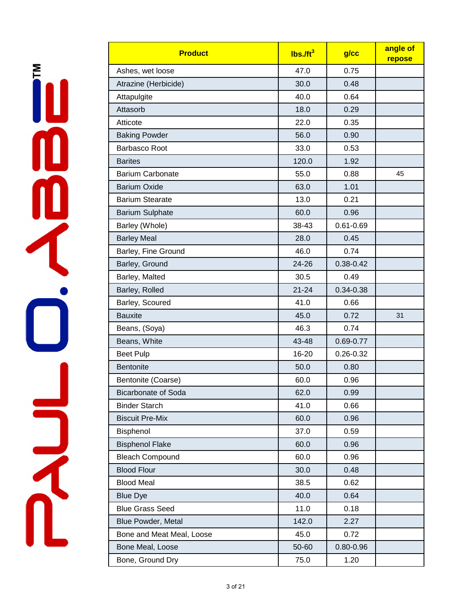| <b>Product</b>             | $lbs.$ /ft <sup>3</sup> | $g$ / $cc$    | angle of<br>repose |
|----------------------------|-------------------------|---------------|--------------------|
| Ashes, wet loose           | 47.0                    | 0.75          |                    |
| Atrazine (Herbicide)       | 30.0                    | 0.48          |                    |
| Attapulgite                | 40.0                    | 0.64          |                    |
| Attasorb                   | 18.0                    | 0.29          |                    |
| Atticote                   | 22.0                    | 0.35          |                    |
| <b>Baking Powder</b>       | 56.0                    | 0.90          |                    |
| <b>Barbasco Root</b>       | 33.0                    | 0.53          |                    |
| <b>Barites</b>             | 120.0                   | 1.92          |                    |
| <b>Barium Carbonate</b>    | 55.0                    | 0.88          | 45                 |
| <b>Barium Oxide</b>        | 63.0                    | 1.01          |                    |
| <b>Barium Stearate</b>     | 13.0                    | 0.21          |                    |
| <b>Barium Sulphate</b>     | 60.0                    | 0.96          |                    |
| Barley (Whole)             | 38-43                   | $0.61 - 0.69$ |                    |
| <b>Barley Meal</b>         | 28.0                    | 0.45          |                    |
| Barley, Fine Ground        | 46.0                    | 0.74          |                    |
| Barley, Ground             | 24-26                   | $0.38 - 0.42$ |                    |
| Barley, Malted             | 30.5                    | 0.49          |                    |
| Barley, Rolled             | $21 - 24$               | $0.34 - 0.38$ |                    |
| Barley, Scoured            | 41.0                    | 0.66          |                    |
| <b>Bauxite</b>             | 45.0                    | 0.72          | 31                 |
| Beans, (Soya)              | 46.3                    | 0.74          |                    |
| Beans, White               | 43-48                   | 0.69-0.77     |                    |
| <b>Beet Pulp</b>           | 16-20                   | $0.26 - 0.32$ |                    |
| <b>Bentonite</b>           | 50.0                    | 0.80          |                    |
| Bentonite (Coarse)         | 60.0                    | 0.96          |                    |
| <b>Bicarbonate of Soda</b> | 62.0                    | 0.99          |                    |
| <b>Binder Starch</b>       | 41.0                    | 0.66          |                    |
| <b>Biscuit Pre-Mix</b>     | 60.0                    | 0.96          |                    |
| Bisphenol                  | 37.0                    | 0.59          |                    |
| <b>Bisphenol Flake</b>     | 60.0                    | 0.96          |                    |
| <b>Bleach Compound</b>     | 60.0                    | 0.96          |                    |
| <b>Blood Flour</b>         | 30.0                    | 0.48          |                    |
| <b>Blood Meal</b>          | 38.5                    | 0.62          |                    |
| <b>Blue Dye</b>            | 40.0                    | 0.64          |                    |
| <b>Blue Grass Seed</b>     | 11.0                    | 0.18          |                    |
| Blue Powder, Metal         | 142.0                   | 2.27          |                    |
| Bone and Meat Meal, Loose  | 45.0                    | 0.72          |                    |
| Bone Meal, Loose           | 50-60                   | $0.80 - 0.96$ |                    |
| Bone, Ground Dry           | 75.0                    | 1.20          |                    |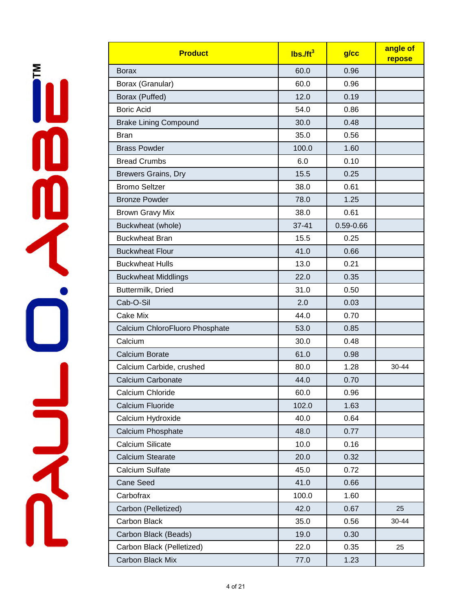| <b>Product</b>                 | Ibs. <sub>10</sub> | g/cc          | angle of<br>repose |
|--------------------------------|--------------------|---------------|--------------------|
| <b>Borax</b>                   | 60.0               | 0.96          |                    |
| Borax (Granular)               | 60.0               | 0.96          |                    |
| Borax (Puffed)                 | 12.0               | 0.19          |                    |
| <b>Boric Acid</b>              | 54.0               | 0.86          |                    |
| <b>Brake Lining Compound</b>   | 30.0               | 0.48          |                    |
| <b>Bran</b>                    | 35.0               | 0.56          |                    |
| <b>Brass Powder</b>            | 100.0              | 1.60          |                    |
| <b>Bread Crumbs</b>            | 6.0                | 0.10          |                    |
| <b>Brewers Grains, Dry</b>     | 15.5               | 0.25          |                    |
| <b>Bromo Seltzer</b>           | 38.0               | 0.61          |                    |
| <b>Bronze Powder</b>           | 78.0               | 1.25          |                    |
| <b>Brown Gravy Mix</b>         | 38.0               | 0.61          |                    |
| Buckwheat (whole)              | $37 - 41$          | $0.59 - 0.66$ |                    |
| <b>Buckwheat Bran</b>          | 15.5               | 0.25          |                    |
| <b>Buckwheat Flour</b>         | 41.0               | 0.66          |                    |
| <b>Buckwheat Hulls</b>         | 13.0               | 0.21          |                    |
| <b>Buckwheat Middlings</b>     | 22.0               | 0.35          |                    |
| Buttermilk, Dried              | 31.0               | 0.50          |                    |
| Cab-O-Sil                      | 2.0                | 0.03          |                    |
| <b>Cake Mix</b>                | 44.0               | 0.70          |                    |
| Calcium ChloroFluoro Phosphate | 53.0               | 0.85          |                    |
| Calcium                        | 30.0               | 0.48          |                    |
| <b>Calcium Borate</b>          | 61.0               | 0.98          |                    |
| Calcium Carbide, crushed       | 80.0               | 1.28          | 30-44              |
| <b>Calcium Carbonate</b>       | 44.0               | 0.70          |                    |
| Calcium Chloride               | 60.0               | 0.96          |                    |
| Calcium Fluoride               | 102.0              | 1.63          |                    |
| Calcium Hydroxide              | 40.0               | 0.64          |                    |
| Calcium Phosphate              | 48.0               | 0.77          |                    |
| <b>Calcium Silicate</b>        | 10.0               | 0.16          |                    |
| <b>Calcium Stearate</b>        | 20.0               | 0.32          |                    |
| Calcium Sulfate                | 45.0               | 0.72          |                    |
| Cane Seed                      | 41.0               | 0.66          |                    |
| Carbofrax                      | 100.0              | 1.60          |                    |
| Carbon (Pelletized)            | 42.0               | 0.67          | 25                 |
| Carbon Black                   | 35.0               | 0.56          | 30-44              |
| Carbon Black (Beads)           | 19.0               | 0.30          |                    |
| Carbon Black (Pelletized)      | 22.0               | 0.35          | 25                 |
| Carbon Black Mix               | 77.0               | 1.23          |                    |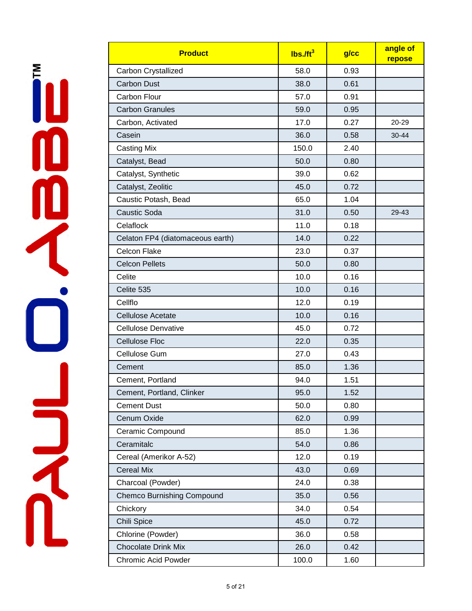| <b>Product</b>                    | $lbs.$ /ft <sup>3</sup> | g/cc | angle of<br>repose |
|-----------------------------------|-------------------------|------|--------------------|
| Carbon Crystallized               | 58.0                    | 0.93 |                    |
| <b>Carbon Dust</b>                | 38.0                    | 0.61 |                    |
| Carbon Flour                      | 57.0                    | 0.91 |                    |
| <b>Carbon Granules</b>            | 59.0                    | 0.95 |                    |
| Carbon, Activated                 | 17.0                    | 0.27 | 20-29              |
| Casein                            | 36.0                    | 0.58 | 30-44              |
| <b>Casting Mix</b>                | 150.0                   | 2.40 |                    |
| Catalyst, Bead                    | 50.0                    | 0.80 |                    |
| Catalyst, Synthetic               | 39.0                    | 0.62 |                    |
| Catalyst, Zeolitic                | 45.0                    | 0.72 |                    |
| Caustic Potash, Bead              | 65.0                    | 1.04 |                    |
| <b>Caustic Soda</b>               | 31.0                    | 0.50 | 29-43              |
| Celaflock                         | 11.0                    | 0.18 |                    |
| Celaton FP4 (diatomaceous earth)  | 14.0                    | 0.22 |                    |
| <b>Celcon Flake</b>               | 23.0                    | 0.37 |                    |
| <b>Celcon Pellets</b>             | 50.0                    | 0.80 |                    |
| Celite                            | 10.0                    | 0.16 |                    |
| Celite 535                        | 10.0                    | 0.16 |                    |
| Cellflo                           | 12.0                    | 0.19 |                    |
| <b>Cellulose Acetate</b>          | 10.0                    | 0.16 |                    |
| <b>Cellulose Denvative</b>        | 45.0                    | 0.72 |                    |
| <b>Cellulose Floc</b>             | 22.0                    | 0.35 |                    |
| Cellulose Gum                     | 27.0                    | 0.43 |                    |
| Cement                            | 85.0                    | 1.36 |                    |
| Cement, Portland                  | 94.0                    | 1.51 |                    |
| Cement, Portland, Clinker         | 95.0                    | 1.52 |                    |
| <b>Cement Dust</b>                | 50.0                    | 0.80 |                    |
| Cenum Oxide                       | 62.0                    | 0.99 |                    |
| Ceramic Compound                  | 85.0                    | 1.36 |                    |
| Ceramitalc                        | 54.0                    | 0.86 |                    |
| Cereal (Amerikor A-52)            | 12.0                    | 0.19 |                    |
| <b>Cereal Mix</b>                 | 43.0                    | 0.69 |                    |
| Charcoal (Powder)                 | 24.0                    | 0.38 |                    |
| <b>Chemco Burnishing Compound</b> | 35.0                    | 0.56 |                    |
| Chickory                          | 34.0                    | 0.54 |                    |
| Chili Spice                       | 45.0                    | 0.72 |                    |
| Chlorine (Powder)                 | 36.0                    | 0.58 |                    |
| <b>Chocolate Drink Mix</b>        | 26.0                    | 0.42 |                    |
| Chromic Acid Powder               | 100.0                   | 1.60 |                    |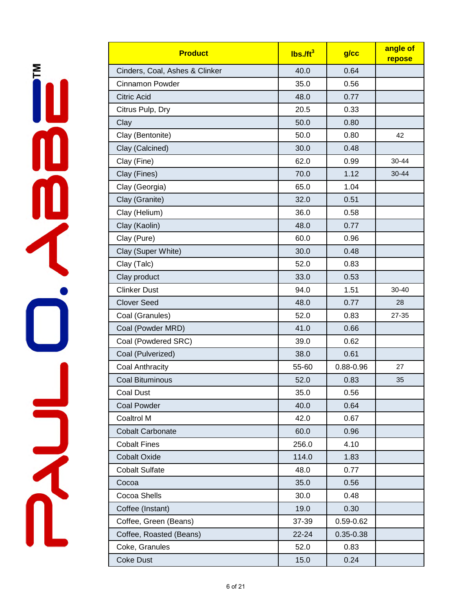| <b>Product</b>                 | Ibs. <sub>ft<sup>3</sup></sub> | g/cc      | angle of<br>repose |
|--------------------------------|--------------------------------|-----------|--------------------|
| Cinders, Coal, Ashes & Clinker | 40.0                           | 0.64      |                    |
| <b>Cinnamon Powder</b>         | 35.0                           | 0.56      |                    |
| <b>Citric Acid</b>             | 48.0                           | 0.77      |                    |
| Citrus Pulp, Dry               | 20.5                           | 0.33      |                    |
| Clay                           | 50.0                           | 0.80      |                    |
| Clay (Bentonite)               | 50.0                           | 0.80      | 42                 |
| Clay (Calcined)                | 30.0                           | 0.48      |                    |
| Clay (Fine)                    | 62.0                           | 0.99      | 30-44              |
| Clay (Fines)                   | 70.0                           | 1.12      | 30-44              |
| Clay (Georgia)                 | 65.0                           | 1.04      |                    |
| Clay (Granite)                 | 32.0                           | 0.51      |                    |
| Clay (Helium)                  | 36.0                           | 0.58      |                    |
| Clay (Kaolin)                  | 48.0                           | 0.77      |                    |
| Clay (Pure)                    | 60.0                           | 0.96      |                    |
| Clay (Super White)             | 30.0                           | 0.48      |                    |
| Clay (Talc)                    | 52.0                           | 0.83      |                    |
| Clay product                   | 33.0                           | 0.53      |                    |
| <b>Clinker Dust</b>            | 94.0                           | 1.51      | 30-40              |
| <b>Clover Seed</b>             | 48.0                           | 0.77      | 28                 |
| Coal (Granules)                | 52.0                           | 0.83      | 27-35              |
| Coal (Powder MRD)              | 41.0                           | 0.66      |                    |
| Coal (Powdered SRC)            | 39.0                           | 0.62      |                    |
| Coal (Pulverized)              | 38.0                           | 0.61      |                    |
| Coal Anthracity                | 55-60                          | 0.88-0.96 | 27                 |
| <b>Coal Bituminous</b>         | 52.0                           | 0.83      | 35                 |
| <b>Coal Dust</b>               | 35.0                           | 0.56      |                    |
| <b>Coal Powder</b>             | 40.0                           | 0.64      |                    |
| Coaltrol M                     | 42.0                           | 0.67      |                    |
| <b>Cobalt Carbonate</b>        | 60.0                           | 0.96      |                    |
| <b>Cobalt Fines</b>            | 256.0                          | 4.10      |                    |
| <b>Cobalt Oxide</b>            | 114.0                          | 1.83      |                    |
| <b>Cobalt Sulfate</b>          | 48.0                           | 0.77      |                    |
| Cocoa                          | 35.0                           | 0.56      |                    |
| Cocoa Shells                   | 30.0                           | 0.48      |                    |
| Coffee (Instant)               | 19.0                           | 0.30      |                    |
| Coffee, Green (Beans)          | 37-39                          | 0.59-0.62 |                    |
| Coffee, Roasted (Beans)        | 22-24                          | 0.35-0.38 |                    |
| Coke, Granules                 | 52.0                           | 0.83      |                    |
| <b>Coke Dust</b>               | 15.0                           | 0.24      |                    |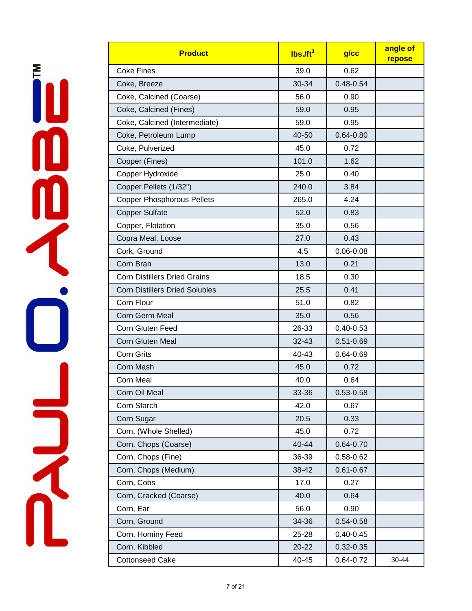| <b>Product</b>                        | $lbs$ ./ft <sup>3</sup> | $g$ / $cc$    | angle of<br>repose |
|---------------------------------------|-------------------------|---------------|--------------------|
| <b>Coke Fines</b>                     | 39.0                    | 0.62          |                    |
| Coke, Breeze                          | 30-34                   | $0.48 - 0.54$ |                    |
| Coke, Calcined (Coarse)               | 56.0                    | 0.90          |                    |
| Coke, Calcined (Fines)                | 59.0                    | 0.95          |                    |
| Coke, Calcined (Intermediate)         | 59.0                    | 0.95          |                    |
| Coke, Petroleum Lump                  | 40-50                   | $0.64 - 0.80$ |                    |
| Coke, Pulverized                      | 45.0                    | 0.72          |                    |
| Copper (Fines)                        | 101.0                   | 1.62          |                    |
| Copper Hydroxide                      | 25.0                    | 0.40          |                    |
| Copper Pellets (1/32")                | 240.0                   | 3.84          |                    |
| <b>Copper Phosphorous Pellets</b>     | 265.0                   | 4.24          |                    |
| <b>Copper Sulfate</b>                 | 52.0                    | 0.83          |                    |
| Copper, Flotation                     | 35.0                    | 0.56          |                    |
| Copra Meal, Loose                     | 27.0                    | 0.43          |                    |
| Cork, Ground                          | 4.5                     | $0.06 - 0.08$ |                    |
| Corn Bran                             | 13.0                    | 0.21          |                    |
| <b>Corn Distillers Dried Grains</b>   | 18.5                    | 0.30          |                    |
| <b>Corn Distillers Dried Solubles</b> | 25.5                    | 0.41          |                    |
| Corn Flour                            | 51.0                    | 0.82          |                    |
| Corn Germ Meal                        | 35.0                    | 0.56          |                    |
| Corn Gluten Feed                      | 26-33                   | $0.40 - 0.53$ |                    |
| <b>Corn Gluten Meal</b>               | 32-43                   | $0.51 - 0.69$ |                    |
| <b>Corn Grits</b>                     | 40-43                   | $0.64 - 0.69$ |                    |
| Corn Mash                             | 45.0                    | 0.72          |                    |
| <b>Corn Meal</b>                      | 40.0                    | 0.64          |                    |
| Corn Oil Meal                         | 33-36                   | 0.53-0.58     |                    |
| Corn Starch                           | 42.0                    | 0.67          |                    |
| Corn Sugar                            | 20.5                    | 0.33          |                    |
| Corn, (Whole Shelled)                 | 45.0                    | 0.72          |                    |
| Corn, Chops (Coarse)                  | 40-44                   | $0.64 - 0.70$ |                    |
| Corn, Chops (Fine)                    | 36-39                   | 0.58-0.62     |                    |
| Corn, Chops (Medium)                  | 38-42                   | $0.61 - 0.67$ |                    |
| Corn, Cobs                            | 17.0                    | 0.27          |                    |
| Corn, Cracked (Coarse)                | 40.0                    | 0.64          |                    |
| Corn, Ear                             | 56.0                    | 0.90          |                    |
| Corn, Ground                          | 34-36                   | $0.54 - 0.58$ |                    |
| Corn, Hominy Feed                     | 25-28                   | $0.40 - 0.45$ |                    |
| Corn, Kibbled                         | 20-22                   | $0.32 - 0.35$ |                    |
| <b>Cottonseed Cake</b>                | 40-45                   | 0.64-0.72     | 30-44              |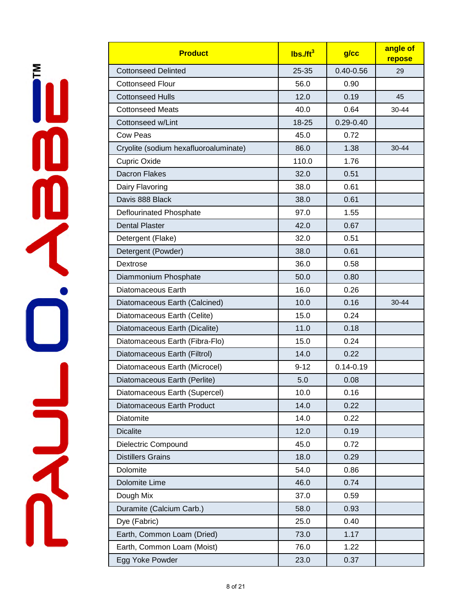| <b>Product</b>                        | $lbs.$ /ft <sup>3</sup> | $g$ / $cc$    | angle of<br>repose |
|---------------------------------------|-------------------------|---------------|--------------------|
| <b>Cottonseed Delinted</b>            | 25-35                   | $0.40 - 0.56$ | 29                 |
| <b>Cottonseed Flour</b>               | 56.0                    | 0.90          |                    |
| <b>Cottonseed Hulls</b>               | 12.0                    | 0.19          | 45                 |
| <b>Cottonseed Meats</b>               | 40.0                    | 0.64          | 30-44              |
| Cottonseed w/Lint                     | 18-25                   | $0.29 - 0.40$ |                    |
| <b>Cow Peas</b>                       | 45.0                    | 0.72          |                    |
| Cryolite (sodium hexafluoroaluminate) | 86.0                    | 1.38          | 30-44              |
| Cupric Oxide                          | 110.0                   | 1.76          |                    |
| <b>Dacron Flakes</b>                  | 32.0                    | 0.51          |                    |
| Dairy Flavoring                       | 38.0                    | 0.61          |                    |
| Davis 888 Black                       | 38.0                    | 0.61          |                    |
| Deflourinated Phosphate               | 97.0                    | 1.55          |                    |
| <b>Dental Plaster</b>                 | 42.0                    | 0.67          |                    |
| Detergent (Flake)                     | 32.0                    | 0.51          |                    |
| Detergent (Powder)                    | 38.0                    | 0.61          |                    |
| Dextrose                              | 36.0                    | 0.58          |                    |
| Diammonium Phosphate                  | 50.0                    | 0.80          |                    |
| Diatomaceous Earth                    | 16.0                    | 0.26          |                    |
| Diatomaceous Earth (Calcined)         | 10.0                    | 0.16          | $30 - 44$          |
| Diatomaceous Earth (Celite)           | 15.0                    | 0.24          |                    |
| Diatomaceous Earth (Dicalite)         | 11.0                    | 0.18          |                    |
| Diatomaceous Earth (Fibra-Flo)        | 15.0                    | 0.24          |                    |
| Diatomaceous Earth (Filtrol)          | 14.0                    | 0.22          |                    |
| Diatomaceous Earth (Microcel)         | $9 - 12$                | $0.14 - 0.19$ |                    |
| Diatomaceous Earth (Perlite)          | 5.0                     | 0.08          |                    |
| Diatomaceous Earth (Supercel)         | 10.0                    | 0.16          |                    |
| Diatomaceous Earth Product            | 14.0                    | 0.22          |                    |
| Diatomite                             | 14.0                    | 0.22          |                    |
| <b>Dicalite</b>                       | 12.0                    | 0.19          |                    |
| Dielectric Compound                   | 45.0                    | 0.72          |                    |
| <b>Distillers Grains</b>              | 18.0                    | 0.29          |                    |
| Dolomite                              | 54.0                    | 0.86          |                    |
| Dolomite Lime                         | 46.0                    | 0.74          |                    |
| Dough Mix                             | 37.0                    | 0.59          |                    |
| Duramite (Calcium Carb.)              | 58.0                    | 0.93          |                    |
| Dye (Fabric)                          | 25.0                    | 0.40          |                    |
| Earth, Common Loam (Dried)            | 73.0                    | 1.17          |                    |
| Earth, Common Loam (Moist)            | 76.0                    | 1.22          |                    |
| Egg Yoke Powder                       | 23.0                    | 0.37          |                    |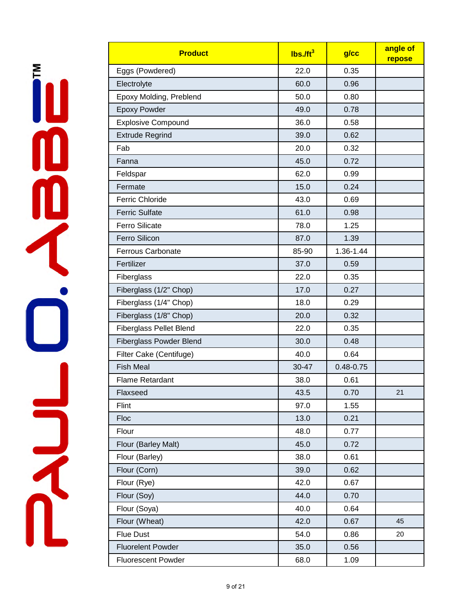| <b>Product</b>                 | $lbs.$ /ft <sup>3</sup> | $g$ / $cc$    | angle of<br>repose |
|--------------------------------|-------------------------|---------------|--------------------|
| Eggs (Powdered)                | 22.0                    | 0.35          |                    |
| Electrolyte                    | 60.0                    | 0.96          |                    |
| Epoxy Molding, Preblend        | 50.0                    | 0.80          |                    |
| <b>Epoxy Powder</b>            | 49.0                    | 0.78          |                    |
| <b>Explosive Compound</b>      | 36.0                    | 0.58          |                    |
| <b>Extrude Regrind</b>         | 39.0                    | 0.62          |                    |
| Fab                            | 20.0                    | 0.32          |                    |
| Fanna                          | 45.0                    | 0.72          |                    |
| Feldspar                       | 62.0                    | 0.99          |                    |
| Fermate                        | 15.0                    | 0.24          |                    |
| <b>Ferric Chloride</b>         | 43.0                    | 0.69          |                    |
| <b>Ferric Sulfate</b>          | 61.0                    | 0.98          |                    |
| <b>Ferro Silicate</b>          | 78.0                    | 1.25          |                    |
| Ferro Silicon                  | 87.0                    | 1.39          |                    |
| <b>Ferrous Carbonate</b>       | 85-90                   | 1.36-1.44     |                    |
| Fertilizer                     | 37.0                    | 0.59          |                    |
| Fiberglass                     | 22.0                    | 0.35          |                    |
| Fiberglass (1/2" Chop)         | 17.0                    | 0.27          |                    |
| Fiberglass (1/4" Chop)         | 18.0                    | 0.29          |                    |
| Fiberglass (1/8" Chop)         | 20.0                    | 0.32          |                    |
| <b>Fiberglass Pellet Blend</b> | 22.0                    | 0.35          |                    |
| <b>Fiberglass Powder Blend</b> | 30.0                    | 0.48          |                    |
| Filter Cake (Centifuge)        | 40.0                    | 0.64          |                    |
| <b>Fish Meal</b>               | 30-47                   | $0.48 - 0.75$ |                    |
| <b>Flame Retardant</b>         | 38.0                    | 0.61          |                    |
| Flaxseed                       | 43.5                    | 0.70          | 21                 |
| Flint                          | 97.0                    | 1.55          |                    |
| Floc                           | 13.0                    | 0.21          |                    |
| Flour                          | 48.0                    | 0.77          |                    |
| Flour (Barley Malt)            | 45.0                    | 0.72          |                    |
| Flour (Barley)                 | 38.0                    | 0.61          |                    |
| Flour (Corn)                   | 39.0                    | 0.62          |                    |
| Flour (Rye)                    | 42.0                    | 0.67          |                    |
| Flour (Soy)                    | 44.0                    | 0.70          |                    |
| Flour (Soya)                   | 40.0                    | 0.64          |                    |
| Flour (Wheat)                  | 42.0                    | 0.67          | 45                 |
| <b>Flue Dust</b>               | 54.0                    | 0.86          | 20                 |
| <b>Fluorelent Powder</b>       | 35.0                    | 0.56          |                    |
| <b>Fluorescent Powder</b>      | 68.0                    | 1.09          |                    |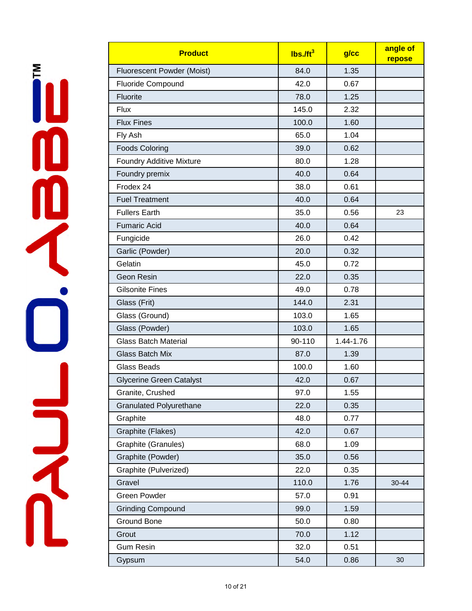| <b>Product</b>                  | $lbs.$ /ft <sup>3</sup> | $g$ / $cc$ | angle of<br>repose |
|---------------------------------|-------------------------|------------|--------------------|
| Fluorescent Powder (Moist)      | 84.0                    | 1.35       |                    |
| <b>Fluoride Compound</b>        | 42.0                    | 0.67       |                    |
| Fluorite                        | 78.0                    | 1.25       |                    |
| <b>Flux</b>                     | 145.0                   | 2.32       |                    |
| <b>Flux Fines</b>               | 100.0                   | 1.60       |                    |
| Fly Ash                         | 65.0                    | 1.04       |                    |
| <b>Foods Coloring</b>           | 39.0                    | 0.62       |                    |
| <b>Foundry Additive Mixture</b> | 80.0                    | 1.28       |                    |
| Foundry premix                  | 40.0                    | 0.64       |                    |
| Frodex 24                       | 38.0                    | 0.61       |                    |
| <b>Fuel Treatment</b>           | 40.0                    | 0.64       |                    |
| <b>Fullers Earth</b>            | 35.0                    | 0.56       | 23                 |
| <b>Fumaric Acid</b>             | 40.0                    | 0.64       |                    |
| Fungicide                       | 26.0                    | 0.42       |                    |
| Garlic (Powder)                 | 20.0                    | 0.32       |                    |
| Gelatin                         | 45.0                    | 0.72       |                    |
| Geon Resin                      | 22.0                    | 0.35       |                    |
| <b>Gilsonite Fines</b>          | 49.0                    | 0.78       |                    |
| Glass (Frit)                    | 144.0                   | 2.31       |                    |
| Glass (Ground)                  | 103.0                   | 1.65       |                    |
| Glass (Powder)                  | 103.0                   | 1.65       |                    |
| <b>Glass Batch Material</b>     | 90-110                  | 1.44-1.76  |                    |
| <b>Glass Batch Mix</b>          | 87.0                    | 1.39       |                    |
| <b>Glass Beads</b>              | 100.0                   | 1.60       |                    |
| <b>Glycerine Green Catalyst</b> | 42.0                    | 0.67       |                    |
| Granite, Crushed                | 97.0                    | 1.55       |                    |
| <b>Granulated Polyurethane</b>  | 22.0                    | 0.35       |                    |
| Graphite                        | 48.0                    | 0.77       |                    |
| Graphite (Flakes)               | 42.0                    | 0.67       |                    |
| Graphite (Granules)             | 68.0                    | 1.09       |                    |
| Graphite (Powder)               | 35.0                    | 0.56       |                    |
| Graphite (Pulverized)           | 22.0                    | 0.35       |                    |
| Gravel                          | 110.0                   | 1.76       | 30-44              |
| <b>Green Powder</b>             | 57.0                    | 0.91       |                    |
| <b>Grinding Compound</b>        | 99.0                    | 1.59       |                    |
| Ground Bone                     | 50.0                    | 0.80       |                    |
| Grout                           | 70.0                    | 1.12       |                    |
| <b>Gum Resin</b>                | 32.0                    | 0.51       |                    |
| Gypsum                          | 54.0                    | 0.86       | 30                 |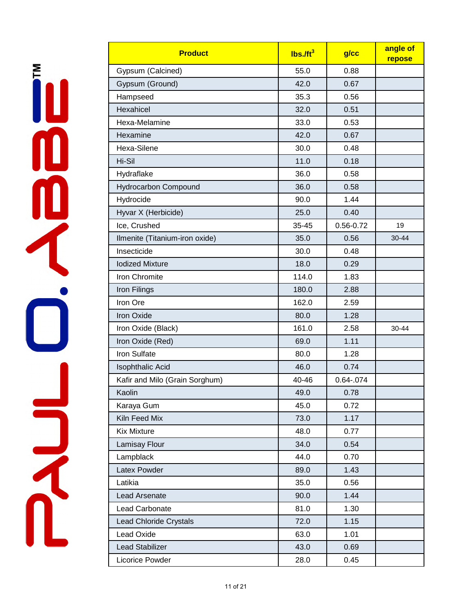İU **DR**<br>N

| <b>Product</b>                 | $lbs.$ /ft <sup>3</sup> | $g$ / $cc$    | angle of<br>repose |
|--------------------------------|-------------------------|---------------|--------------------|
| Gypsum (Calcined)              | 55.0                    | 0.88          |                    |
| Gypsum (Ground)                | 42.0                    | 0.67          |                    |
| Hampseed                       | 35.3                    | 0.56          |                    |
| Hexahicel                      | 32.0                    | 0.51          |                    |
| Hexa-Melamine                  | 33.0                    | 0.53          |                    |
| Hexamine                       | 42.0                    | 0.67          |                    |
| Hexa-Silene                    | 30.0                    | 0.48          |                    |
| Hi-Sil                         | 11.0                    | 0.18          |                    |
| Hydraflake                     | 36.0                    | 0.58          |                    |
| <b>Hydrocarbon Compound</b>    | 36.0                    | 0.58          |                    |
| Hydrocide                      | 90.0                    | 1.44          |                    |
| Hyvar X (Herbicide)            | 25.0                    | 0.40          |                    |
| Ice, Crushed                   | 35-45                   | $0.56 - 0.72$ | 19                 |
| Ilmenite (Titanium-iron oxide) | 35.0                    | 0.56          | 30-44              |
| Insecticide                    | 30.0                    | 0.48          |                    |
| <b>lodized Mixture</b>         | 18.0                    | 0.29          |                    |
| Iron Chromite                  | 114.0                   | 1.83          |                    |
| Iron Filings                   | 180.0                   | 2.88          |                    |
| Iron Ore                       | 162.0                   | 2.59          |                    |
| <b>Iron Oxide</b>              | 80.0                    | 1.28          |                    |
| Iron Oxide (Black)             | 161.0                   | 2.58          | 30-44              |
| Iron Oxide (Red)               | 69.0                    | 1.11          |                    |
| <b>Iron Sulfate</b>            | 80.0                    | 1.28          |                    |
| <b>Isophthalic Acid</b>        | 46.0                    | 0.74          |                    |
| Kafir and Milo (Grain Sorghum) | 40-46                   | 0.64-.074     |                    |
| Kaolin                         | 49.0                    | 0.78          |                    |
| Karaya Gum                     | 45.0                    | 0.72          |                    |
| Kiln Feed Mix                  | 73.0                    | 1.17          |                    |
| <b>Kix Mixture</b>             | 48.0                    | 0.77          |                    |
| Lamisay Flour                  | 34.0                    | 0.54          |                    |
| Lampblack                      | 44.0                    | 0.70          |                    |
| Latex Powder                   | 89.0                    | 1.43          |                    |
| Latikia                        | 35.0                    | 0.56          |                    |
| Lead Arsenate                  | 90.0                    | 1.44          |                    |
| Lead Carbonate                 | 81.0                    | 1.30          |                    |
| <b>Lead Chloride Crystals</b>  | 72.0                    | 1.15          |                    |
| Lead Oxide                     | 63.0                    | 1.01          |                    |
| Lead Stabilizer                | 43.0                    | 0.69          |                    |
| Licorice Powder                | 28.0                    | 0.45          |                    |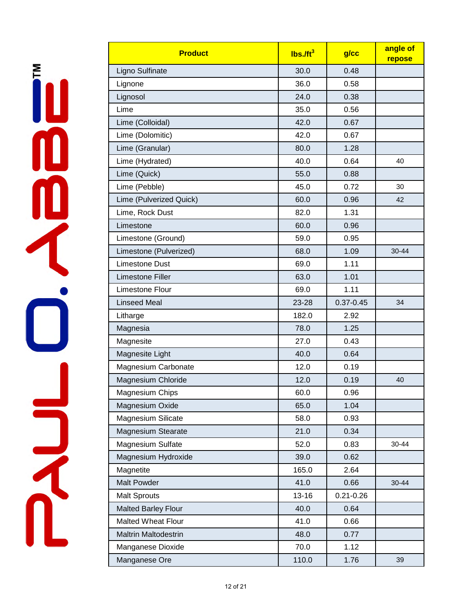je produkte 

| <b>Product</b>              | $lbs.$ /ft <sup>3</sup> | $g$ / $cc$    | angle of<br>repose |
|-----------------------------|-------------------------|---------------|--------------------|
| Ligno Sulfinate             | 30.0                    | 0.48          |                    |
| Lignone                     | 36.0                    | 0.58          |                    |
| Lignosol                    | 24.0                    | 0.38          |                    |
| Lime                        | 35.0                    | 0.56          |                    |
| Lime (Colloidal)            | 42.0                    | 0.67          |                    |
| Lime (Dolomitic)            | 42.0                    | 0.67          |                    |
| Lime (Granular)             | 80.0                    | 1.28          |                    |
| Lime (Hydrated)             | 40.0                    | 0.64          | 40                 |
| Lime (Quick)                | 55.0                    | 0.88          |                    |
| Lime (Pebble)               | 45.0                    | 0.72          | 30                 |
| Lime (Pulverized Quick)     | 60.0                    | 0.96          | 42                 |
| Lime, Rock Dust             | 82.0                    | 1.31          |                    |
| Limestone                   | 60.0                    | 0.96          |                    |
| Limestone (Ground)          | 59.0                    | 0.95          |                    |
| Limestone (Pulverized)      | 68.0                    | 1.09          | 30-44              |
| Limestone Dust              | 69.0                    | 1.11          |                    |
| Limestone Filler            | 63.0                    | 1.01          |                    |
| Limestone Flour             | 69.0                    | 1.11          |                    |
| <b>Linseed Meal</b>         | 23-28                   | $0.37 - 0.45$ | 34                 |
| Litharge                    | 182.0                   | 2.92          |                    |
| Magnesia                    | 78.0                    | 1.25          |                    |
| Magnesite                   | 27.0                    | 0.43          |                    |
| Magnesite Light             | 40.0                    | 0.64          |                    |
| Magnesium Carbonate         | 12.0                    | 0.19          |                    |
| Magnesium Chloride          | 12.0                    | 0.19          | 40                 |
| <b>Magnesium Chips</b>      | 60.0                    | 0.96          |                    |
| Magnesium Oxide             | 65.0                    | 1.04          |                    |
| Magnesium Silicate          | 58.0                    | 0.93          |                    |
| <b>Magnesium Stearate</b>   | 21.0                    | 0.34          |                    |
| Magnesium Sulfate           | 52.0                    | 0.83          | $30 - 44$          |
| Magnesium Hydroxide         | 39.0                    | 0.62          |                    |
| Magnetite                   | 165.0                   | 2.64          |                    |
| <b>Malt Powder</b>          | 41.0                    | 0.66          | 30-44              |
| <b>Malt Sprouts</b>         | $13 - 16$               | $0.21 - 0.26$ |                    |
| <b>Malted Barley Flour</b>  | 40.0                    | 0.64          |                    |
| <b>Malted Wheat Flour</b>   | 41.0                    | 0.66          |                    |
| <b>Maltrin Maltodestrin</b> | 48.0                    | 0.77          |                    |
| Manganese Dioxide           | 70.0                    | 1.12          |                    |
| Manganese Ore               | 110.0                   | 1.76          | 39                 |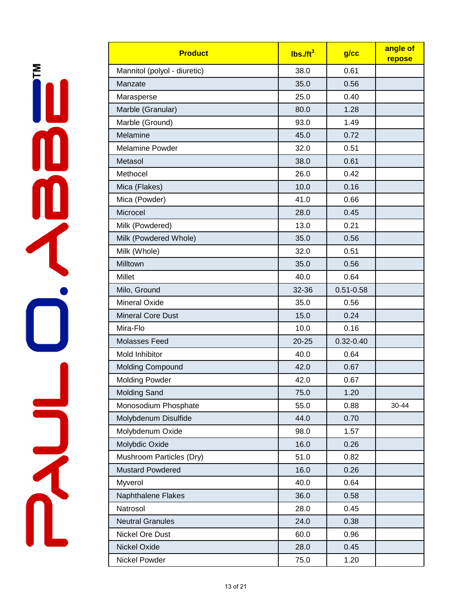| <b>Product</b>               | $lbs.$ /ft <sup>3</sup> | g/cc          | angle of<br>repose |
|------------------------------|-------------------------|---------------|--------------------|
| Mannitol (polyol - diuretic) | 38.0                    | 0.61          |                    |
| Manzate                      | 35.0                    | 0.56          |                    |
| Marasperse                   | 25.0                    | 0.40          |                    |
| Marble (Granular)            | 80.0                    | 1.28          |                    |
| Marble (Ground)              | 93.0                    | 1.49          |                    |
| Melamine                     | 45.0                    | 0.72          |                    |
| <b>Melamine Powder</b>       | 32.0                    | 0.51          |                    |
| Metasol                      | 38.0                    | 0.61          |                    |
| Methocel                     | 26.0                    | 0.42          |                    |
| Mica (Flakes)                | 10.0                    | 0.16          |                    |
| Mica (Powder)                | 41.0                    | 0.66          |                    |
| Microcel                     | 28.0                    | 0.45          |                    |
| Milk (Powdered)              | 13.0                    | 0.21          |                    |
| Milk (Powdered Whole)        | 35.0                    | 0.56          |                    |
| Milk (Whole)                 | 32.0                    | 0.51          |                    |
| Milltown                     | 35.0                    | 0.56          |                    |
| <b>Millet</b>                | 40.0                    | 0.64          |                    |
| Milo, Ground                 | 32-36                   | $0.51 - 0.58$ |                    |
| <b>Mineral Oxide</b>         | 35.0                    | 0.56          |                    |
| <b>Mineral Core Dust</b>     | 15.0                    | 0.24          |                    |
| Mira-Flo                     | 10.0                    | 0.16          |                    |
| <b>Molasses Feed</b>         | $20 - 25$               | $0.32 - 0.40$ |                    |
| Mold Inhibitor               | 40.0                    | 0.64          |                    |
| <b>Molding Compound</b>      | 42.0                    | 0.67          |                    |
| <b>Molding Powder</b>        | 42.0                    | 0.67          |                    |
| <b>Molding Sand</b>          | 75.0                    | 1.20          |                    |
| Monosodium Phosphate         | 55.0                    | 0.88          | 30-44              |
| Molybdenum Disulfide         | 44.0                    | 0.70          |                    |
| Molybdenum Oxide             | 98.0                    | 1.57          |                    |
| Molybdic Oxide               | 16.0                    | 0.26          |                    |
| Mushroom Particles (Dry)     | 51.0                    | 0.82          |                    |
| <b>Mustard Powdered</b>      | 16.0                    | 0.26          |                    |
| Myverol                      | 40.0                    | 0.64          |                    |
| Naphthalene Flakes           | 36.0                    | 0.58          |                    |
| Natrosol                     | 28.0                    | 0.45          |                    |
| <b>Neutral Granules</b>      | 24.0                    | 0.38          |                    |
| Nickel Ore Dust              | 60.0                    | 0.96          |                    |
| Nickel Oxide                 | 28.0                    | 0.45          |                    |
| Nickel Powder                | 75.0                    | 1.20          |                    |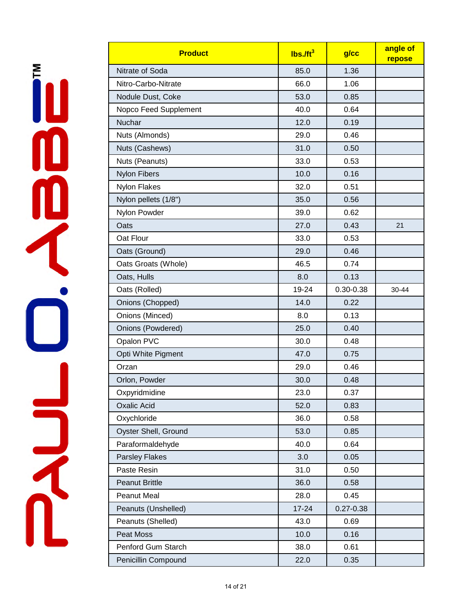| <b>Product</b>        | $lbs.$ /ft <sup>3</sup> | g/cc          | angle of<br>repose |
|-----------------------|-------------------------|---------------|--------------------|
| Nitrate of Soda       | 85.0                    | 1.36          |                    |
| Nitro-Carbo-Nitrate   | 66.0                    | 1.06          |                    |
| Nodule Dust, Coke     | 53.0                    | 0.85          |                    |
| Nopco Feed Supplement | 40.0                    | 0.64          |                    |
| Nuchar                | 12.0                    | 0.19          |                    |
| Nuts (Almonds)        | 29.0                    | 0.46          |                    |
| Nuts (Cashews)        | 31.0                    | 0.50          |                    |
| Nuts (Peanuts)        | 33.0                    | 0.53          |                    |
| <b>Nylon Fibers</b>   | 10.0                    | 0.16          |                    |
| <b>Nylon Flakes</b>   | 32.0                    | 0.51          |                    |
| Nylon pellets (1/8")  | 35.0                    | 0.56          |                    |
| Nylon Powder          | 39.0                    | 0.62          |                    |
| Oats                  | 27.0                    | 0.43          | 21                 |
| Oat Flour             | 33.0                    | 0.53          |                    |
| Oats (Ground)         | 29.0                    | 0.46          |                    |
| Oats Groats (Whole)   | 46.5                    | 0.74          |                    |
| Oats, Hulls           | 8.0                     | 0.13          |                    |
| Oats (Rolled)         | 19-24                   | $0.30 - 0.38$ | 30-44              |
| Onions (Chopped)      | 14.0                    | 0.22          |                    |
| Onions (Minced)       | 8.0                     | 0.13          |                    |
| Onions (Powdered)     | 25.0                    | 0.40          |                    |
| Opalon PVC            | 30.0                    | 0.48          |                    |
| Opti White Pigment    | 47.0                    | 0.75          |                    |
| Orzan                 | 29.0                    | 0.46          |                    |
| Orlon, Powder         | 30.0                    | 0.48          |                    |
| Oxpyridmidine         | 23.0                    | 0.37          |                    |
| <b>Oxalic Acid</b>    | 52.0                    | 0.83          |                    |
| Oxychloride           | 36.0                    | 0.58          |                    |
| Oyster Shell, Ground  | 53.0                    | 0.85          |                    |
| Paraformaldehyde      | 40.0                    | 0.64          |                    |
| <b>Parsley Flakes</b> | 3.0                     | 0.05          |                    |
| Paste Resin           | 31.0                    | 0.50          |                    |
| Peanut Brittle        | 36.0                    | 0.58          |                    |
| <b>Peanut Meal</b>    | 28.0                    | 0.45          |                    |
| Peanuts (Unshelled)   | $17 - 24$               | $0.27 - 0.38$ |                    |
| Peanuts (Shelled)     | 43.0                    | 0.69          |                    |
| Peat Moss             | 10.0                    | 0.16          |                    |
| Penford Gum Starch    | 38.0                    | 0.61          |                    |
| Penicillin Compound   | 22.0                    | 0.35          |                    |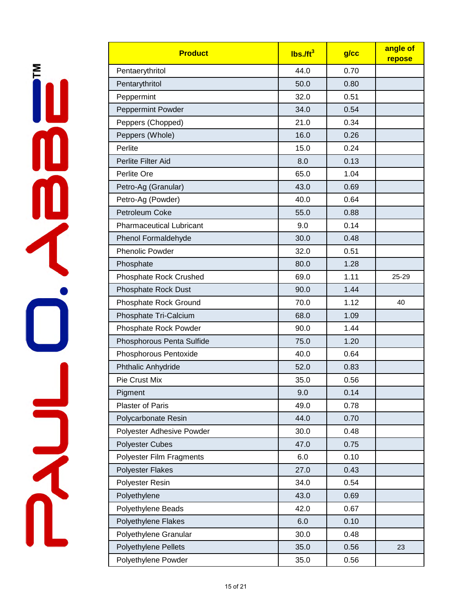İU **DR** 

| <b>Product</b>                  | $\overline{I}$ lbs./ft <sup>3</sup> | g/cc | angle of<br>repose |
|---------------------------------|-------------------------------------|------|--------------------|
| Pentaerythritol                 | 44.0                                | 0.70 |                    |
| Pentarythritol                  | 50.0                                | 0.80 |                    |
| Peppermint                      | 32.0                                | 0.51 |                    |
| Peppermint Powder               | 34.0                                | 0.54 |                    |
| Peppers (Chopped)               | 21.0                                | 0.34 |                    |
| Peppers (Whole)                 | 16.0                                | 0.26 |                    |
| Perlite                         | 15.0                                | 0.24 |                    |
| Perlite Filter Aid              | 8.0                                 | 0.13 |                    |
| Perlite Ore                     | 65.0                                | 1.04 |                    |
| Petro-Ag (Granular)             | 43.0                                | 0.69 |                    |
| Petro-Ag (Powder)               | 40.0                                | 0.64 |                    |
| Petroleum Coke                  | 55.0                                | 0.88 |                    |
| <b>Pharmaceutical Lubricant</b> | 9.0                                 | 0.14 |                    |
| Phenol Formaldehyde             | 30.0                                | 0.48 |                    |
| <b>Phenolic Powder</b>          | 32.0                                | 0.51 |                    |
| Phosphate                       | 80.0                                | 1.28 |                    |
| Phosphate Rock Crushed          | 69.0                                | 1.11 | 25-29              |
| <b>Phosphate Rock Dust</b>      | 90.0                                | 1.44 |                    |
| Phosphate Rock Ground           | 70.0                                | 1.12 | 40                 |
| Phosphate Tri-Calcium           | 68.0                                | 1.09 |                    |
| Phosphate Rock Powder           | 90.0                                | 1.44 |                    |
| Phosphorous Penta Sulfide       | 75.0                                | 1.20 |                    |
| Phosphorous Pentoxide           | 40.0                                | 0.64 |                    |
| Phthalic Anhydride              | 52.0                                | 0.83 |                    |
| Pie Crust Mix                   | 35.0                                | 0.56 |                    |
| Pigment                         | 9.0                                 | 0.14 |                    |
| <b>Plaster of Paris</b>         | 49.0                                | 0.78 |                    |
| Polycarbonate Resin             | 44.0                                | 0.70 |                    |
| Polyester Adhesive Powder       | 30.0                                | 0.48 |                    |
| <b>Polyester Cubes</b>          | 47.0                                | 0.75 |                    |
| Polyester Film Fragments        | 6.0                                 | 0.10 |                    |
| <b>Polyester Flakes</b>         | 27.0                                | 0.43 |                    |
| Polyester Resin                 | 34.0                                | 0.54 |                    |
| Polyethylene                    | 43.0                                | 0.69 |                    |
| Polyethylene Beads              | 42.0                                | 0.67 |                    |
| Polyethylene Flakes             | 6.0                                 | 0.10 |                    |
| Polyethylene Granular           | 30.0                                | 0.48 |                    |
| Polyethylene Pellets            | 35.0                                | 0.56 | 23                 |
| Polyethylene Powder             | 35.0                                | 0.56 |                    |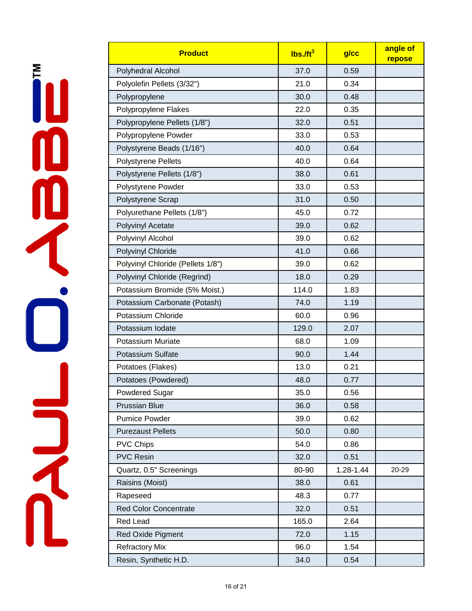| <b>Product</b>                    | $lbs.$ /ft <sup>3</sup> | $g$ / $cc$ | angle of<br>repose |
|-----------------------------------|-------------------------|------------|--------------------|
| Polyhedral Alcohol                | 37.0                    | 0.59       |                    |
| Polyolefin Pellets (3/32")        | 21.0                    | 0.34       |                    |
| Polypropylene                     | 30.0                    | 0.48       |                    |
| Polypropylene Flakes              | 22.0                    | 0.35       |                    |
| Polypropylene Pellets (1/8")      | 32.0                    | 0.51       |                    |
| Polypropylene Powder              | 33.0                    | 0.53       |                    |
| Polystyrene Beads (1/16")         | 40.0                    | 0.64       |                    |
| Polystyrene Pellets               | 40.0                    | 0.64       |                    |
| Polystyrene Pellets (1/8")        | 38.0                    | 0.61       |                    |
| Polystyrene Powder                | 33.0                    | 0.53       |                    |
| Polystyrene Scrap                 | 31.0                    | 0.50       |                    |
| Polyurethane Pellets (1/8")       | 45.0                    | 0.72       |                    |
| Polyvinyl Acetate                 | 39.0                    | 0.62       |                    |
| Polyvinyl Alcohol                 | 39.0                    | 0.62       |                    |
| Polyvinyl Chloride                | 41.0                    | 0.66       |                    |
| Polyvinyl Chloride (Pellets 1/8") | 39.0                    | 0.62       |                    |
| Polyvinyl Chloride (Regrind)      | 18.0                    | 0.29       |                    |
| Potassium Bromide (5% Moist.)     | 114.0                   | 1.83       |                    |
| Potassium Carbonate (Potash)      | 74.0                    | 1.19       |                    |
| Potassium Chloride                | 60.0                    | 0.96       |                    |
| Potassium Iodate                  | 129.0                   | 2.07       |                    |
| <b>Potassium Muriate</b>          | 68.0                    | 1.09       |                    |
| <b>Potassium Sulfate</b>          | 90.0                    | 1.44       |                    |
| Potatoes (Flakes)                 | 13.0                    | 0.21       |                    |
| Potatoes (Powdered)               | 48.0                    | 0.77       |                    |
| <b>Powdered Sugar</b>             | 35.0                    | 0.56       |                    |
| <b>Prussian Blue</b>              | 36.0                    | 0.58       |                    |
| <b>Pumice Powder</b>              | 39.0                    | 0.62       |                    |
| <b>Purezaust Pellets</b>          | 50.0                    | 0.80       |                    |
| <b>PVC Chips</b>                  | 54.0                    | 0.86       |                    |
| <b>PVC Resin</b>                  | 32.0                    | 0.51       |                    |
| Quartz, 0.5" Screenings           | 80-90                   | 1.28-1.44  | 20-29              |
| Raisins (Moist)                   | 38.0                    | 0.61       |                    |
| Rapeseed                          | 48.3                    | 0.77       |                    |
| <b>Red Color Concentrate</b>      | 32.0                    | 0.51       |                    |
| <b>Red Lead</b>                   | 165.0                   | 2.64       |                    |
| <b>Red Oxide Pigment</b>          | 72.0                    | 1.15       |                    |
| <b>Refractory Mix</b>             | 96.0                    | 1.54       |                    |
| Resin, Synthetic H.D.             | 34.0                    | 0.54       |                    |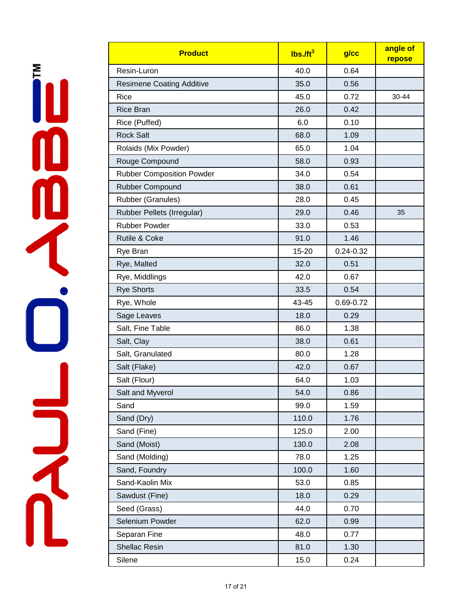| <b>Product</b>                   | $lbs.$ /ft <sup>3</sup> | $g$ / $cc$    | angle of<br>repose |
|----------------------------------|-------------------------|---------------|--------------------|
| Resin-Luron                      | 40.0                    | 0.64          |                    |
| <b>Resimene Coating Additive</b> | 35.0                    | 0.56          |                    |
| Rice                             | 45.0                    | 0.72          | 30-44              |
| <b>Rice Bran</b>                 | 26.0                    | 0.42          |                    |
| Rice (Puffed)                    | 6.0                     | 0.10          |                    |
| <b>Rock Salt</b>                 | 68.0                    | 1.09          |                    |
| Rolaids (Mix Powder)             | 65.0                    | 1.04          |                    |
| Rouge Compound                   | 58.0                    | 0.93          |                    |
| <b>Rubber Composition Powder</b> | 34.0                    | 0.54          |                    |
| Rubber Compound                  | 38.0                    | 0.61          |                    |
| Rubber (Granules)                | 28.0                    | 0.45          |                    |
| Rubber Pellets (Irregular)       | 29.0                    | 0.46          | 35                 |
| <b>Rubber Powder</b>             | 33.0                    | 0.53          |                    |
| Rutile & Coke                    | 91.0                    | 1.46          |                    |
| Rye Bran                         | 15-20                   | $0.24 - 0.32$ |                    |
| Rye, Malted                      | 32.0                    | 0.51          |                    |
| Rye, Middlings                   | 42.0                    | 0.67          |                    |
| <b>Rye Shorts</b>                | 33.5                    | 0.54          |                    |
| Rye, Whole                       | 43-45                   | 0.69-0.72     |                    |
| Sage Leaves                      | 18.0                    | 0.29          |                    |
| Salt, Fine Table                 | 86.0                    | 1.38          |                    |
| Salt, Clay                       | 38.0                    | 0.61          |                    |
| Salt, Granulated                 | 80.0                    | 1.28          |                    |
| Salt (Flake)                     | 42.0                    | 0.67          |                    |
| Salt (Flour)                     | 64.0                    | 1.03          |                    |
| Salt and Myverol                 | 54.0                    | 0.86          |                    |
| Sand                             | 99.0                    | 1.59          |                    |
| Sand (Dry)                       | 110.0                   | 1.76          |                    |
| Sand (Fine)                      | 125.0                   | 2.00          |                    |
| Sand (Moist)                     | 130.0                   | 2.08          |                    |
| Sand (Molding)                   | 78.0                    | 1.25          |                    |
| Sand, Foundry                    | 100.0                   | 1.60          |                    |
| Sand-Kaolin Mix                  | 53.0                    | 0.85          |                    |
| Sawdust (Fine)                   | 18.0                    | 0.29          |                    |
| Seed (Grass)                     | 44.0                    | 0.70          |                    |
| Selenium Powder                  | 62.0                    | 0.99          |                    |
| Separan Fine                     | 48.0                    | 0.77          |                    |
| <b>Shellac Resin</b>             | 81.0                    | 1.30          |                    |
| Silene                           | 15.0                    | 0.24          |                    |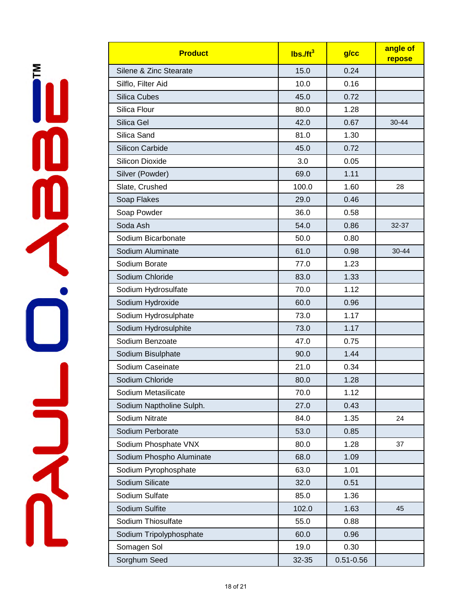| <b>Product</b>           | $lbs.$ /ft <sup>3</sup> | g/cc          | angle of<br>repose |
|--------------------------|-------------------------|---------------|--------------------|
| Silene & Zinc Stearate   | 15.0                    | 0.24          |                    |
| Silflo, Filter Aid       | 10.0                    | 0.16          |                    |
| <b>Silica Cubes</b>      | 45.0                    | 0.72          |                    |
| Silica Flour             | 80.0                    | 1.28          |                    |
| Silica Gel               | 42.0                    | 0.67          | 30-44              |
| Silica Sand              | 81.0                    | 1.30          |                    |
| <b>Silicon Carbide</b>   | 45.0                    | 0.72          |                    |
| <b>Silicon Dioxide</b>   | 3.0                     | 0.05          |                    |
| Silver (Powder)          | 69.0                    | 1.11          |                    |
| Slate, Crushed           | 100.0                   | 1.60          | 28                 |
| Soap Flakes              | 29.0                    | 0.46          |                    |
| Soap Powder              | 36.0                    | 0.58          |                    |
| Soda Ash                 | 54.0                    | 0.86          | 32-37              |
| Sodium Bicarbonate       | 50.0                    | 0.80          |                    |
| Sodium Aluminate         | 61.0                    | 0.98          | $30 - 44$          |
| Sodium Borate            | 77.0                    | 1.23          |                    |
| Sodium Chloride          | 83.0                    | 1.33          |                    |
| Sodium Hydrosulfate      | 70.0                    | 1.12          |                    |
| Sodium Hydroxide         | 60.0                    | 0.96          |                    |
| Sodium Hydrosulphate     | 73.0                    | 1.17          |                    |
| Sodium Hydrosulphite     | 73.0                    | 1.17          |                    |
| Sodium Benzoate          | 47.0                    | 0.75          |                    |
| Sodium Bisulphate        | 90.0                    | 1.44          |                    |
| Sodium Caseinate         | 21.0                    | 0.34          |                    |
| Sodium Chloride          | 80.0                    | 1.28          |                    |
| Sodium Metasilicate      | 70.0                    | 1.12          |                    |
| Sodium Naptholine Sulph. | 27.0                    | 0.43          |                    |
| Sodium Nitrate           | 84.0                    | 1.35          | 24                 |
| Sodium Perborate         | 53.0                    | 0.85          |                    |
| Sodium Phosphate VNX     | 80.0                    | 1.28          | 37                 |
| Sodium Phospho Aluminate | 68.0                    | 1.09          |                    |
| Sodium Pyrophosphate     | 63.0                    | 1.01          |                    |
| Sodium Silicate          | 32.0                    | 0.51          |                    |
| Sodium Sulfate           | 85.0                    | 1.36          |                    |
| Sodium Sulfite           | 102.0                   | 1.63          | 45                 |
| Sodium Thiosulfate       | 55.0                    | 0.88          |                    |
| Sodium Tripolyphosphate  | 60.0                    | 0.96          |                    |
| Somagen Sol              | 19.0                    | 0.30          |                    |
| Sorghum Seed             | 32-35                   | $0.51 - 0.56$ |                    |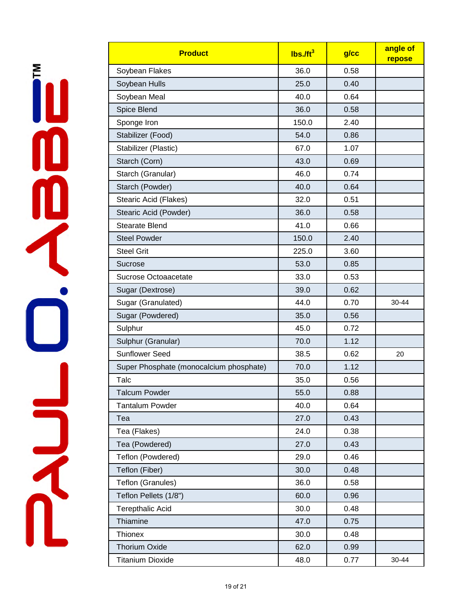| <b>Product</b>                          | $lbs.$ /ft <sup>3</sup> | $g$ / $cc$ | angle of<br>repose |
|-----------------------------------------|-------------------------|------------|--------------------|
| Soybean Flakes                          | 36.0                    | 0.58       |                    |
| Soybean Hulls                           | 25.0                    | 0.40       |                    |
| Soybean Meal                            | 40.0                    | 0.64       |                    |
| Spice Blend                             | 36.0                    | 0.58       |                    |
| Sponge Iron                             | 150.0                   | 2.40       |                    |
| Stabilizer (Food)                       | 54.0                    | 0.86       |                    |
| Stabilizer (Plastic)                    | 67.0                    | 1.07       |                    |
| Starch (Corn)                           | 43.0                    | 0.69       |                    |
| Starch (Granular)                       | 46.0                    | 0.74       |                    |
| Starch (Powder)                         | 40.0                    | 0.64       |                    |
| Stearic Acid (Flakes)                   | 32.0                    | 0.51       |                    |
| Stearic Acid (Powder)                   | 36.0                    | 0.58       |                    |
| <b>Stearate Blend</b>                   | 41.0                    | 0.66       |                    |
| <b>Steel Powder</b>                     | 150.0                   | 2.40       |                    |
| <b>Steel Grit</b>                       | 225.0                   | 3.60       |                    |
| Sucrose                                 | 53.0                    | 0.85       |                    |
| Sucrose Octoaacetate                    | 33.0                    | 0.53       |                    |
| Sugar (Dextrose)                        | 39.0                    | 0.62       |                    |
| Sugar (Granulated)                      | 44.0                    | 0.70       | 30-44              |
| Sugar (Powdered)                        | 35.0                    | 0.56       |                    |
| Sulphur                                 | 45.0                    | 0.72       |                    |
| Sulphur (Granular)                      | 70.0                    | 1.12       |                    |
| <b>Sunflower Seed</b>                   | 38.5                    | 0.62       | 20                 |
| Super Phosphate (monocalcium phosphate) | 70.0                    | 1.12       |                    |
| Talc                                    | 35.0                    | 0.56       |                    |
| <b>Talcum Powder</b>                    | 55.0                    | 0.88       |                    |
| <b>Tantalum Powder</b>                  | 40.0                    | 0.64       |                    |
| Tea                                     | 27.0                    | 0.43       |                    |
| Tea (Flakes)                            | 24.0                    | 0.38       |                    |
| Tea (Powdered)                          | 27.0                    | 0.43       |                    |
| Teflon (Powdered)                       | 29.0                    | 0.46       |                    |
| Teflon (Fiber)                          | 30.0                    | 0.48       |                    |
| Teflon (Granules)                       | 36.0                    | 0.58       |                    |
| Teflon Pellets (1/8")                   | 60.0                    | 0.96       |                    |
| <b>Terepthalic Acid</b>                 | 30.0                    | 0.48       |                    |
| Thiamine                                | 47.0                    | 0.75       |                    |
| Thionex                                 | 30.0                    | 0.48       |                    |
| <b>Thorium Oxide</b>                    | 62.0                    | 0.99       |                    |
| <b>Titanium Dioxide</b>                 | 48.0                    | 0.77       | 30-44              |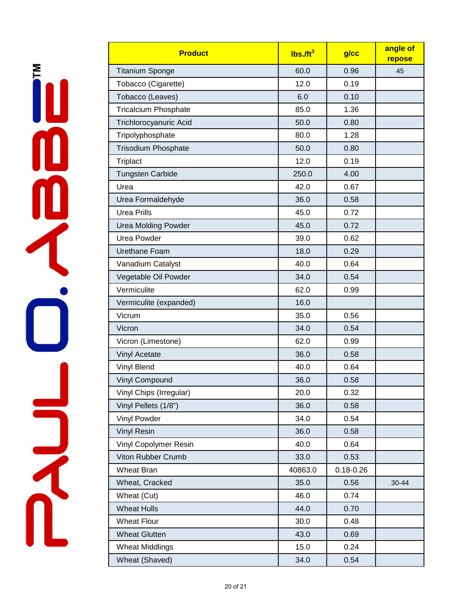| <b>Product</b>               | Ibs. <sub>ft<sup>3</sup></sub> | $g$ / $cc$    | angle of<br>repose |
|------------------------------|--------------------------------|---------------|--------------------|
| <b>Titanium Sponge</b>       | 60.0                           | 0.96          | 45                 |
| Tobacco (Cigarette)          | 12.0                           | 0.19          |                    |
| Tobacco (Leaves)             | 6.0                            | 0.10          |                    |
| <b>Tricalcium Phosphate</b>  | 85.0                           | 1.36          |                    |
| Trichlorocyanuric Acid       | 50.0                           | 0.80          |                    |
| Tripolyphosphate             | 80.0                           | 1.28          |                    |
| <b>Trisodium Phosphate</b>   | 50.0                           | 0.80          |                    |
| Triplact                     | 12.0                           | 0.19          |                    |
| <b>Tungsten Carbide</b>      | 250.0                          | 4.00          |                    |
| Urea                         | 42.0                           | 0.67          |                    |
| Urea Formaldehyde            | 36.0                           | 0.58          |                    |
| <b>Urea Prills</b>           | 45.0                           | 0.72          |                    |
| <b>Urea Molding Powder</b>   | 45.0                           | 0.72          |                    |
| <b>Urea Powder</b>           | 39.0                           | 0.62          |                    |
| Urethane Foam                | 18.0                           | 0.29          |                    |
| Vanadium Catalyst            | 40.0                           | 0.64          |                    |
| Vegetable Oil Powder         | 34.0                           | 0.54          |                    |
| Vermiculite                  | 62.0                           | 0.99          |                    |
| Vermiculite (expanded)       | 16.0                           |               |                    |
| Vicrum                       | 35.0                           | 0.56          |                    |
| Vicron                       | 34.0                           | 0.54          |                    |
| Vicron (Limestone)           | 62.0                           | 0.99          |                    |
| Vinyl Acetate                | 36.0                           | 0.58          |                    |
| Vinyl Blend                  | 40.0                           | 0.64          |                    |
| <b>Vinyl Compound</b>        | 36.0                           | 0.58          |                    |
| Vinyl Chips (Irregular)      | 20.0                           | 0.32          |                    |
| Vinyl Pellets (1/8")         | 36.0                           | 0.58          |                    |
| Vinyl Powder                 | 34.0                           | 0.54          |                    |
| <b>Vinyl Resin</b>           | 36.0                           | 0.58          |                    |
| <b>Vinyl Copolymer Resin</b> | 40.0                           | 0.64          |                    |
| Viton Rubber Crumb           | 33.0                           | 0.53          |                    |
| <b>Wheat Bran</b>            | 40863.0                        | $0.18 - 0.26$ |                    |
| Wheat, Cracked               | 35.0                           | 0.56          | 30-44              |
| Wheat (Cut)                  | 46.0                           | 0.74          |                    |
| <b>Wheat Hulls</b>           | 44.0                           | 0.70          |                    |
| <b>Wheat Flour</b>           | 30.0                           | 0.48          |                    |
| <b>Wheat Glutten</b>         | 43.0                           | 0.69          |                    |
| <b>Wheat Middlings</b>       | 15.0                           | 0.24          |                    |
| Wheat (Shaved)               | 34.0                           | 0.54          |                    |